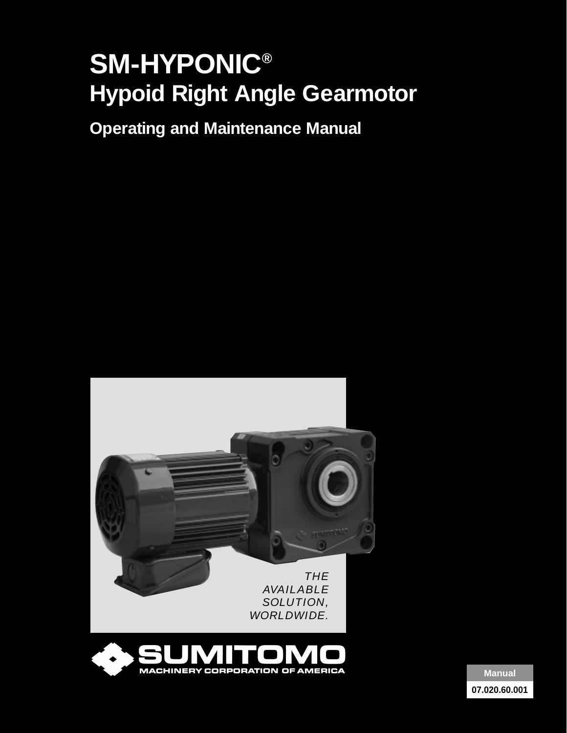# **SM-HYPONIC® Hypoid Right Angle Gearmotor**

**Operating and Maintenance Manual**





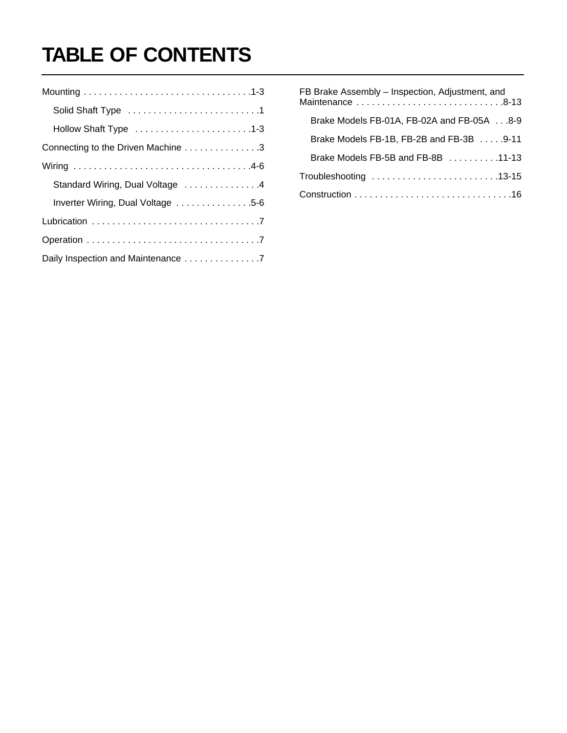# **TABLE OF CONTENTS**

| Hollow Shaft Type 1-3              |
|------------------------------------|
| Connecting to the Driven Machine 3 |
|                                    |
| Standard Wiring, Dual Voltage 4    |
| Inverter Wiring, Dual Voltage 5-6  |
|                                    |
|                                    |
| Daily Inspection and Maintenance 7 |

| FB Brake Assembly - Inspection, Adjustment, and            |
|------------------------------------------------------------|
| Brake Models FB-01A, FB-02A and FB-05A8-9                  |
| Brake Models FB-1B, FB-2B and FB-3B 9-11                   |
| Brake Models FB-5B and FB-8B $\ldots \ldots \ldots$ .11-13 |
|                                                            |
|                                                            |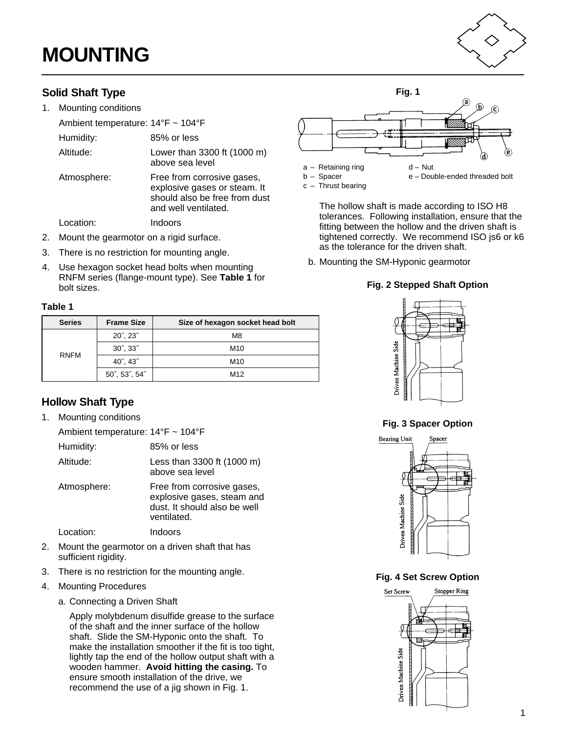# <span id="page-2-0"></span>**MOUNTING**

### **Solid Shaft Type**

1. Mounting conditions

| Ambient temperature: $14^{\circ}F \sim 104^{\circ}F$ |                                                                                                                     |
|------------------------------------------------------|---------------------------------------------------------------------------------------------------------------------|
| Humidity:                                            | 85% or less                                                                                                         |
| Altitude:                                            | Lower than 3300 ft (1000 m)<br>above sea level                                                                      |
| Atmosphere:                                          | Free from corrosive gases,<br>explosive gases or steam. It<br>should also be free from dust<br>and well ventilated. |
| .ocation:                                            | Indoors                                                                                                             |

- 2. Mount the gearmotor on a rigid surface.
- 3. There is no restriction for mounting angle.
- <span id="page-2-1"></span>4. Use hexagon socket head bolts when mounting RNFM series (flange-mount type). See **Table 1** for bolt sizes.

#### **Table 1**

| <b>Series</b> | <b>Frame Size</b>           | Size of hexagon socket head bolt |
|---------------|-----------------------------|----------------------------------|
|               | $20^{\circ}$ , $23^{\circ}$ | M <sub>8</sub>                   |
|               | $30^{\circ}$ , $33^{\circ}$ | M <sub>10</sub>                  |
| <b>RNFM</b>   | $40^{\circ}$ , $43^{\circ}$ | M <sub>10</sub>                  |
|               | 50", 53", 54"               | M <sub>12</sub>                  |

### **Hollow Shaft Type**

1. Mounting conditions

| Ambient temperature: 14°F ~ 104°F |                                                                                                         |
|-----------------------------------|---------------------------------------------------------------------------------------------------------|
| Humidity:                         | 85% or less                                                                                             |
| Altitude:                         | Less than 3300 ft (1000 m)<br>above sea level                                                           |
| Atmosphere:                       | Free from corrosive gases,<br>explosive gases, steam and<br>dust. It should also be well<br>ventilated. |
| Location:                         | Indoors                                                                                                 |
|                                   |                                                                                                         |

- 2. Mount the gearmotor on a driven shaft that has sufficient rigidity.
- 3. There is no restriction for the mounting angle.
- 4. Mounting Procedures
	- a. Connecting a Driven Shaft

Apply molybdenum disulfide grease to the surface of the shaft and the inner surface of the hollow shaft. Slide the SM-Hyponic onto the shaft. To make the installation smoother if the fit is too tight, lightly tap the end of the hollow output shaft with a wooden hammer. **Avoid hitting the casing.** To ensure smooth installation of the drive, we recommend the use of a jig shown in Fig. 1.



c – Thrust bearing

The hollow shaft is made according to ISO H8 tolerances. Following installation, ensure that the fitting between the hollow and the driven shaft is tightened correctly. We recommend ISO js6 or k6 as the tolerance for the driven shaft.

b. Mounting the SM-Hyponic gearmotor

#### **Fig. 2 Stepped Shaft Option**



**Fig. 3 Spacer Option**



**Fig. 4 Set Screw Option** 

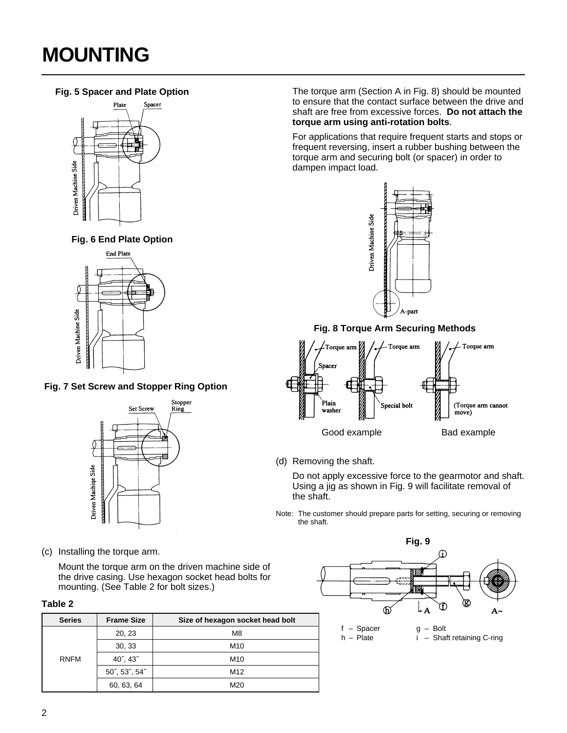# **MOUNTING**

### **Fig. 5 Spacer and Plate Option**







**Fig. 7 Set Screw and Stopper Ring Option**



(c) Installing the torque arm.

Mount the torque arm on the driven machine side of the drive casing. Use hexagon socket head bolts for mounting. (See Table 2 for bolt sizes.)

#### **Table 2**

| <b>Series</b> | <b>Frame Size</b>           | Size of hexagon socket head bolt |
|---------------|-----------------------------|----------------------------------|
| <b>RNFM</b>   | 20, 23                      | M8                               |
|               | 30, 33                      | M10                              |
|               | $40^{\circ}$ , $43^{\circ}$ | M <sub>10</sub>                  |
|               | 50", 53", 54"               | M12                              |
|               | 60, 63, 64                  | M20                              |

The torque arm (Section A in Fig. 8) should be mounted to ensure that the contact surface between the drive and shaft are free from excessive forces. **Do not attach the torque arm using anti-rotation bolts**.

For applications that require frequent starts and stops or frequent reversing, insert a rubber bushing between the torque arm and securing bolt (or spacer) in order to dampen impact load.



**Fig. 8 Torque Arm Securing Methods**



(d) Removing the shaft.

Do not apply excessive force to the gearmotor and shaft. Using a jig as shown in Fig. 9 will facilitate removal of the shaft.

Note: The customer should prepare parts for setting, securing or removing the shaft.

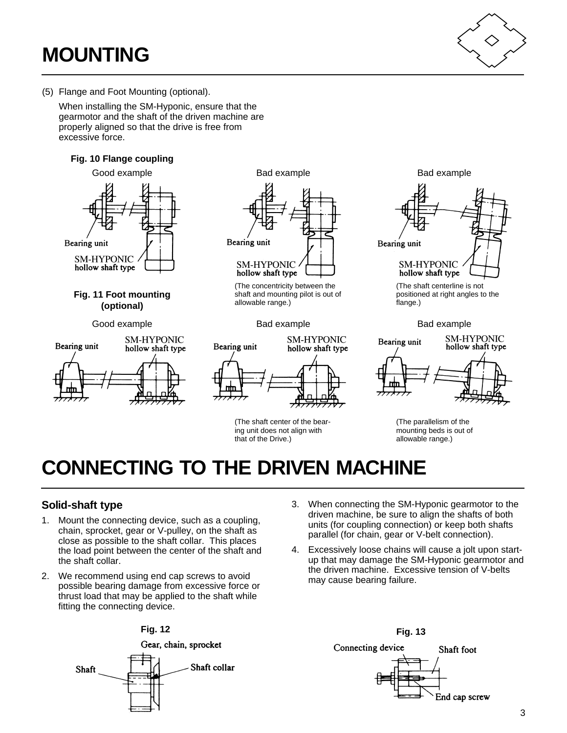# **MOUNTING**



(5) Flange and Foot Mounting (optional).

When installing the SM-Hyponic, ensure that the gearmotor and the shaft of the driven machine are properly aligned so that the drive is free from excessive force.

### **Fig. 10 Flange coupling**



### <span id="page-4-0"></span>**Fig. 11 Foot mounting (optional)**

Good example **Bad example** Bad example **Bad example** Bad example





(The concentricity between the shaft and mounting pilot is out of allowable range.)



(The shaft center of the bearing unit does not align with that of the Drive.)



(The shaft centerline is not positioned at right angles to the flange.)





(The parallelism of the mounting beds is out of allowable range.)

# **CONNECTING TO THE DRIVEN MACHINE**

### **Solid-shaft type**

- 1. Mount the connecting device, such as a coupling, chain, sprocket, gear or V-pulley, on the shaft as close as possible to the shaft collar. This places the load point between the center of the shaft and the shaft collar.
- 2. We recommend using end cap screws to avoid possible bearing damage from excessive force or thrust load that may be applied to the shaft while fitting the connecting device.
- 3. When connecting the SM-Hyponic gearmotor to the driven machine, be sure to align the shafts of both units (for coupling connection) or keep both shafts parallel (for chain, gear or V-belt connection).
	- 4. Excessively loose chains will cause a jolt upon startup that may damage the SM-Hyponic gearmotor and the driven machine. Excessive tension of V-belts may cause bearing failure.



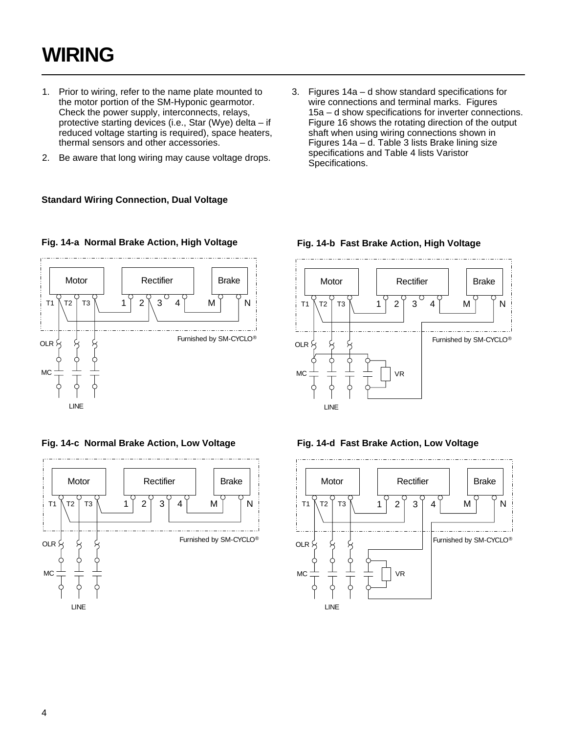# <span id="page-5-0"></span>**WIRING**

- 1. Prior to wiring, refer to the name plate mounted to the motor portion of the SM-Hyponic gearmotor. Check the power supply, interconnects, relays, protective starting devices (i.e., Star (Wye) delta – if reduced voltage starting is required), space heaters, thermal sensors and other accessories.
- 2. Be aware that long wiring may cause voltage drops.
- **Standard Wiring Connection, Dual Voltage**
- 3. Figures 14a d show standard specifications for wire connections and terminal marks. Figures 15a – d show specifications for inverter connections. Figure 16 shows the rotating direction of the output shaft when using wiring connections shown in Figures 14a – d. Table 3 lists Brake lining size specifications and Table 4 lists Varistor Specifications.



**Fig. 14-c Normal Brake Action, Low Voltage Fig. 14-d Fast Brake Action, Low Voltage**







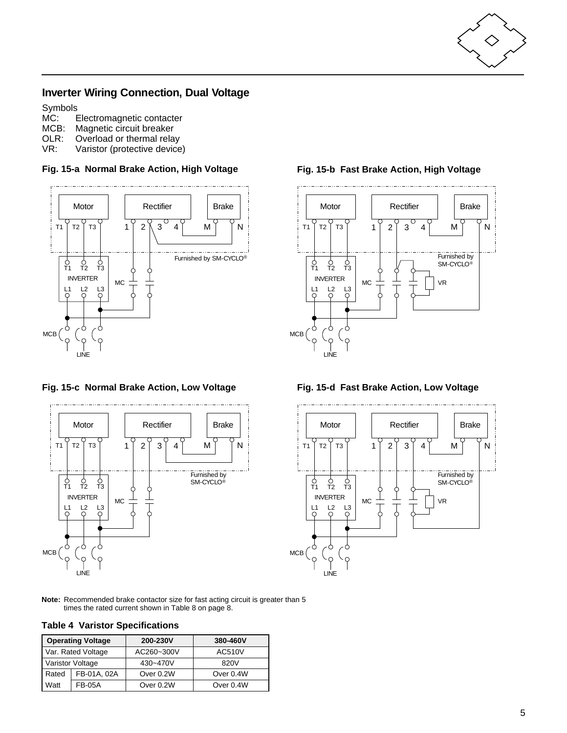

### <span id="page-6-0"></span>**Inverter Wiring Connection, Dual Voltage**

Symbols<br>MC: E

- MC: Electromagnetic contacter<br>MCB: Magnetic circuit breaker
- MCB: Magnetic circuit breaker<br>OLR: Overload or thermal rela
- Overload or thermal relay
- VR: Varistor (protective device)





**Fig. 15-c Normal Brake Action, Low Voltage Fig. 15-d Fast Brake Action, Low Voltage**



### Motor | | Rectifier | Brake T1 T2 T3 1 2 3 4 M M N  $\begin{array}{c|c|c}\n\text{INVERTER} & \text{MC} \\
\text{I1} & \text{I2} & \text{I3}\n\end{array}$ Furnished by SM-CYCLO® VR  $\begin{array}{ccc} 0 & 0 & 0 \\ T1 & T2 & T3 \end{array}$  $L^2$ MCB

\_..\_..\_..\_..\_..\_..\_..\_..\_..\_

LINE



**Note:** Recommended brake contactor size for fast acting circuit is greater than 5 times the rated current shown in Table 8 on page 8.

| <b>Operating Voltage</b> |             | 200-230V   | 380-460V      |
|--------------------------|-------------|------------|---------------|
| Var. Rated Voltage       |             | AC260~300V | <b>AC510V</b> |
| Varistor Voltage         |             | 430~470V   | 820V          |
| Rated                    | FB-01A, 02A | Over 0.2W  | Over 0.4W     |
| Watt                     | FB-05A      | Over 0.2W  | Over 0.4W     |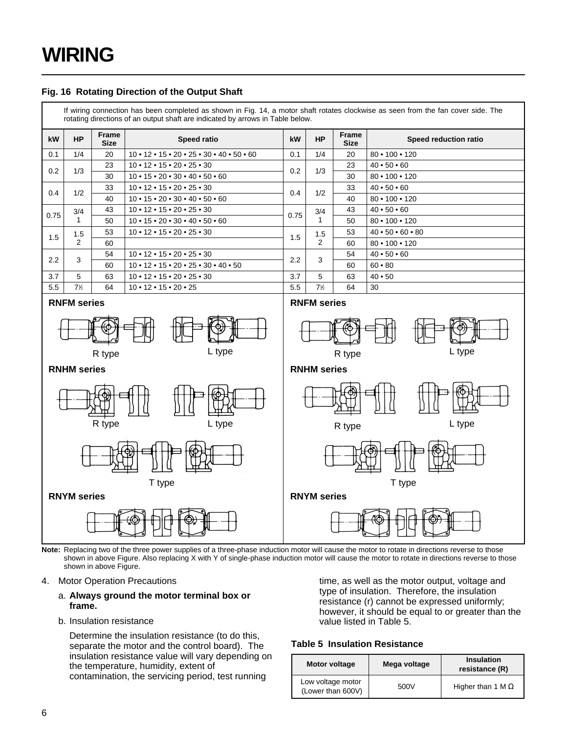### **Fig. 16 Rotating Direction of the Output Shaft**

If wiring connection has been completed as shown in Fig. 14, a motor shaft rotates clockwise as seen from the fan cover side. The rotating directions of an output shaft are indicated by arrows in Table below.

| kW                 | <b>HP</b>      | Frame<br><b>Size</b> | <b>Speed ratio</b>                                                           | kW   | <b>HP</b>      | Frame<br><b>Size</b> | Speed reduction ratio           |    |                          |
|--------------------|----------------|----------------------|------------------------------------------------------------------------------|------|----------------|----------------------|---------------------------------|----|--------------------------|
| 0.1                | 1/4            | 20                   | $10 \cdot 12 \cdot 15 \cdot 20 \cdot 25 \cdot 30 \cdot 40 \cdot 50 \cdot 60$ | 0.1  | 1/4            | 20                   | $80 \cdot 100 \cdot 120$        |    |                          |
| 0.2                | 1/3            | 23                   | $10 \cdot 12 \cdot 15 \cdot 20 \cdot 25 \cdot 30$                            | 0.2  | 1/3            | 23                   | $40 \cdot 50 \cdot 60$          |    |                          |
|                    |                | 30                   | $10 \cdot 15 \cdot 20 \cdot 30 \cdot 40 \cdot 50 \cdot 60$                   |      |                | 30                   | 80 • 100 • 120                  |    |                          |
| 0.4                | 1/2            | 33                   | $10 \cdot 12 \cdot 15 \cdot 20 \cdot 25 \cdot 30$                            | 0.4  | 1/2            | 33                   | $40 \cdot 50 \cdot 60$          |    |                          |
|                    |                | 40                   | $10 \cdot 15 \cdot 20 \cdot 30 \cdot 40 \cdot 50 \cdot 60$                   |      |                | 40                   | $80 \cdot 100 \cdot 120$        |    |                          |
| 0.75               | 3/4            | 43                   | $10 \cdot 12 \cdot 15 \cdot 20 \cdot 25 \cdot 30$                            |      | 3/4            | 43                   | $40 \cdot 50 \cdot 60$          |    |                          |
|                    |                | 50                   | $10 \cdot 15 \cdot 20 \cdot 30 \cdot 40 \cdot 50 \cdot 60$                   | 0.75 |                |                      |                                 | 50 | $80 \cdot 100 \cdot 120$ |
| 1.5                | 1.5            | 53                   | $10 \cdot 12 \cdot 15 \cdot 20 \cdot 25 \cdot 30$                            | 1.5  | 1.5            | 53                   | $40 \cdot 50 \cdot 60 \cdot 80$ |    |                          |
|                    | $\overline{2}$ | 60                   |                                                                              |      | $\overline{2}$ | 60                   | $80 \cdot 100 \cdot 120$        |    |                          |
| 2.2                | 3              | 54                   | $10 \cdot 12 \cdot 15 \cdot 20 \cdot 25 \cdot 30$                            | 2.2  | 3              | 54                   | $40 \cdot 50 \cdot 60$          |    |                          |
|                    |                | 60                   | $10 \cdot 12 \cdot 15 \cdot 20 \cdot 25 \cdot 30 \cdot 40 \cdot 50$          |      |                | 60                   | 60 • 80                         |    |                          |
| 3.7                | 5              | 63                   | $10 \cdot 12 \cdot 15 \cdot 20 \cdot 25 \cdot 30$                            | 3.7  | 5              | 63                   | 40 • 50                         |    |                          |
| 5.5                | $7\frac{1}{2}$ | 64                   | $10 \cdot 12 \cdot 15 \cdot 20 \cdot 25$                                     | 5.5  | $7\frac{1}{2}$ | 64                   | 30                              |    |                          |
| <b>RNFM</b> series |                |                      | <b>RNFM</b> series                                                           |      |                |                      |                                 |    |                          |
|                    |                |                      |                                                                              |      |                |                      |                                 |    |                          |

**RNHM series**



Note: Replacing two of the three power supplies of a three-phase induction motor will cause the motor to rotate in directions reverse to those shown in above Figure. Also replacing X with Y of single-phase induction motor will cause the motor to rotate in directions reverse to those shown in above Figure.

#### 4. Motor Operation Precautions

#### a. **Always ground the motor terminal box or frame.**

R type L type

b. Insulation resistance

Determine the insulation resistance (to do this, separate the motor and the control board). The insulation resistance value will vary depending on the temperature, humidity, extent of contamination, the servicing period, test running

time, as well as the motor output, voltage and type of insulation. Therefore, the insulation resistance (r) cannot be expressed uniformly; however, it should be equal to or greater than the value listed in Table 5.

R type L type

ľЮ

⊮⊾

#### **Table 5 Insulation Resistance**

| Motor voltage                          | Mega voltage | <b>Insulation</b><br>resistance (R) |
|----------------------------------------|--------------|-------------------------------------|
| Low voltage motor<br>(Lower than 600V) | 500V         | Higher than 1 M $\Omega$            |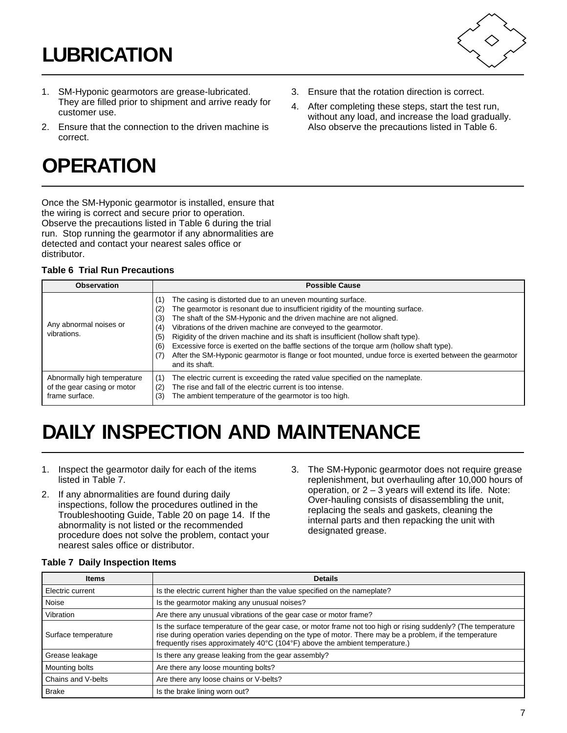# <span id="page-8-0"></span>**LUBRICATION**

- 1. SM-Hyponic gearmotors are grease-lubricated. They are filled prior to shipment and arrive ready for customer use.
- 2. Ensure that the connection to the driven machine is correct.

# **OPERATION**

Once the SM-Hyponic gearmotor is installed, ensure that the wiring is correct and secure prior to operation. Observe the precautions listed in Table 6 during the trial run. Stop running the gearmotor if any abnormalities are detected and contact your nearest sales office or distributor.

### <span id="page-8-1"></span>**Table 6 Trial Run Precautions**

| <b>Observation</b>                                                           | <b>Possible Cause</b>                                                                                                                                                                                                                                                                                                                                                                                                                                                                                                                                                                                                                                 |
|------------------------------------------------------------------------------|-------------------------------------------------------------------------------------------------------------------------------------------------------------------------------------------------------------------------------------------------------------------------------------------------------------------------------------------------------------------------------------------------------------------------------------------------------------------------------------------------------------------------------------------------------------------------------------------------------------------------------------------------------|
| Any abnormal noises or<br>vibrations.                                        | The casing is distorted due to an uneven mounting surface.<br>(1)<br>The gearmotor is resonant due to insufficient rigidity of the mounting surface.<br>(2)<br>The shaft of the SM-Hyponic and the driven machine are not aligned.<br>(3)<br>Vibrations of the driven machine are conveyed to the gearmotor.<br>(4)<br>Rigidity of the driven machine and its shaft is insufficient (hollow shaft type).<br>(5)<br>Excessive force is exerted on the baffle sections of the torque arm (hollow shaft type).<br>(6)<br>After the SM-Hyponic gearmotor is flange or foot mounted, undue force is exerted between the gearmotor<br>(7)<br>and its shaft. |
| Abnormally high temperature<br>of the gear casing or motor<br>frame surface. | The electric current is exceeding the rated value specified on the nameplate.<br>(1)<br>The rise and fall of the electric current is too intense.<br>(2)<br>The ambient temperature of the gearmotor is too high.<br>(3)                                                                                                                                                                                                                                                                                                                                                                                                                              |

# **DAILY INSPECTION AND MAINTENANCE**

- 1. Inspect the gearmotor daily for each of the items listed in Table 7.
- 2. If any abnormalities are found during daily inspections, follow the procedures outlined in the Troubleshooting Guide, Table 20 on page 14. If the abnormality is not listed or the recommended procedure does not solve the problem, contact your nearest sales office or distributor.
- 3. The SM-Hyponic gearmotor does not require grease replenishment, but overhauling after 10,000 hours of operation, or  $2 - 3$  years will extend its life. Note: Over-hauling consists of disassembling the unit, replacing the seals and gaskets, cleaning the internal parts and then repacking the unit with designated grease.

3. Ensure that the rotation direction is correct. 4. After completing these steps, start the test run, without any load, and increase the load gradually. Also observe the precautions listed in Table 6.

| <b>Items</b>        | <b>Details</b>                                                                                                                                                                                                                                                                                          |  |  |
|---------------------|---------------------------------------------------------------------------------------------------------------------------------------------------------------------------------------------------------------------------------------------------------------------------------------------------------|--|--|
| Electric current    | Is the electric current higher than the value specified on the nameplate?                                                                                                                                                                                                                               |  |  |
| l Noise             | Is the gearmotor making any unusual noises?                                                                                                                                                                                                                                                             |  |  |
| Vibration           | Are there any unusual vibrations of the gear case or motor frame?                                                                                                                                                                                                                                       |  |  |
| Surface temperature | Is the surface temperature of the gear case, or motor frame not too high or rising suddenly? (The temperature<br>rise during operation varies depending on the type of motor. There may be a problem, if the temperature<br>frequently rises approximately 40°C (104°F) above the ambient temperature.) |  |  |
| Grease leakage      | Is there any grease leaking from the gear assembly?                                                                                                                                                                                                                                                     |  |  |
| Mounting bolts      | Are there any loose mounting bolts?                                                                                                                                                                                                                                                                     |  |  |
| Chains and V-belts  | Are there any loose chains or V-belts?                                                                                                                                                                                                                                                                  |  |  |
| <b>Brake</b>        | Is the brake lining worn out?                                                                                                                                                                                                                                                                           |  |  |

#### **Table 7 Daily Inspection Items**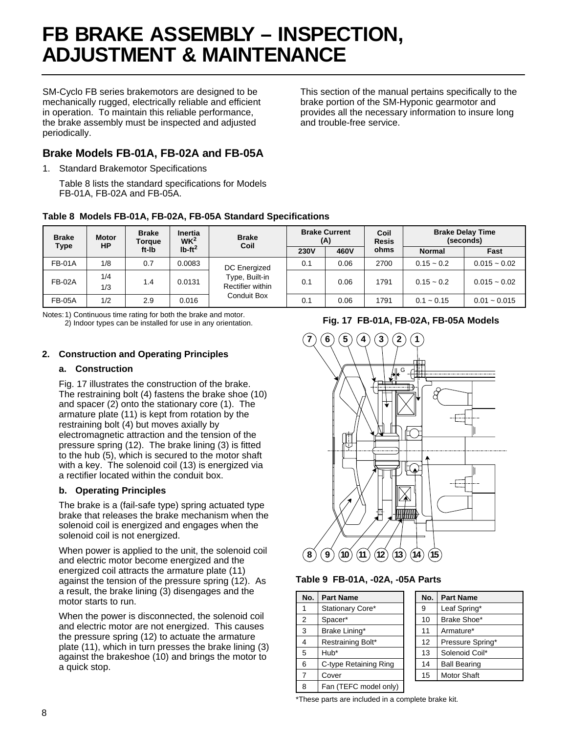# <span id="page-9-0"></span>**FB BRAKE ASSEMBLY – INSPECTION, ADJUSTMENT & MAINTENANCE**

SM-Cyclo FB series brakemotors are designed to be mechanically rugged, electrically reliable and efficient in operation. To maintain this reliable performance, the brake assembly must be inspected and adjusted periodically.

This section of the manual pertains specifically to the brake portion of the SM-Hyponic gearmotor and provides all the necessary information to insure long and trouble-free service.

### **Brake Models FB-01A, FB-02A and FB-05A**

1. Standard Brakemotor Specifications

Table 8 lists the standard specifications for Models FB-01A, FB-02A and FB-05A.

### **Table 8 Models FB-01A, FB-02A, FB-05A Standard Specifications**

| <b>Brake</b><br>Type | <b>Motor</b><br><b>HP</b> | <b>Brake</b><br>Torque | <b>Inertia</b><br>W <sup>2</sup> | <b>Brake</b><br>Coil               | <b>Brake Current</b><br>(A) |      |      |               | Coil<br><b>Resis</b> |  | <b>Brake Delay Time</b><br>(seconds) |
|----------------------|---------------------------|------------------------|----------------------------------|------------------------------------|-----------------------------|------|------|---------------|----------------------|--|--------------------------------------|
|                      |                           | ft-Ib                  | $Ib-ft^2$                        |                                    | <b>230V</b>                 | 460V | ohms | <b>Normal</b> | Fast                 |  |                                      |
| <b>FB-01A</b>        | 1/8                       | 0.7                    | 0.0083                           | DC Energized                       | 0.1                         | 0.06 | 2700 | $0.15 - 0.2$  | $0.015 - 0.02$       |  |                                      |
| <b>FB-02A</b>        | 1/4<br>1/3                | 1.4                    | 0.0131                           | Type, Built-in<br>Rectifier within | 0.1                         | 0.06 | 1791 | $0.15 - 0.2$  | $0.015 - 0.02$       |  |                                      |
| <b>FB-05A</b>        | 1/2                       | 2.9                    | 0.016                            | <b>Conduit Box</b>                 | 0.1                         | 0.06 | 1791 | $0.1 - 0.15$  | $0.01 - 0.015$       |  |                                      |

Notes:1) Continuous time rating for both the brake and motor. 2) Indoor types can be installed for use in any orientation.

### **2. Construction and Operating Principles**

### **a. Construction**

Fig. 17 illustrates the construction of the brake. The restraining bolt (4) fastens the brake shoe (10) and spacer (2) onto the stationary core (1). The armature plate (11) is kept from rotation by the restraining bolt (4) but moves axially by electromagnetic attraction and the tension of the pressure spring (12). The brake lining (3) is fitted to the hub (5), which is secured to the motor shaft with a key. The solenoid coil (13) is energized via a rectifier located within the conduit box.

### **b. Operating Principles**

The brake is a (fail-safe type) spring actuated type brake that releases the brake mechanism when the solenoid coil is energized and engages when the solenoid coil is not energized.

When power is applied to the unit, the solenoid coil and electric motor become energized and the energized coil attracts the armature plate (11) against the tension of the pressure spring (12). As a result, the brake lining (3) disengages and the motor starts to run.

When the power is disconnected, the solenoid coil and electric motor are not energized. This causes the pressure spring (12) to actuate the armature plate (11), which in turn presses the brake lining (3) against the brakeshoe (10) and brings the motor to a quick stop.

### **Fig. 17 FB-01A, FB-02A, FB-05A Models**



#### **Table 9 FB-01A, -02A, -05A Parts**

| No.            | <b>Part Name</b>      | No. | <b>Part Name</b>    |
|----------------|-----------------------|-----|---------------------|
| 1              | Stationary Core*      | 9   | Leaf Spring*        |
| 2              | Spacer*               | 10  | Brake Shoe*         |
| 3              | Brake Lining*         | 11  | Armature*           |
| 4              | Restraining Bolt*     | 12  | Pressure Spring*    |
| 5              | Hub*                  | 13  | Solenoid Coil*      |
| 6              | C-type Retaining Ring | 14  | <b>Ball Bearing</b> |
| $\overline{7}$ | Cover                 | 15  | Motor Shaft         |
| 8              | Fan (TEFC model only) |     |                     |

\*These parts are included in a complete brake kit.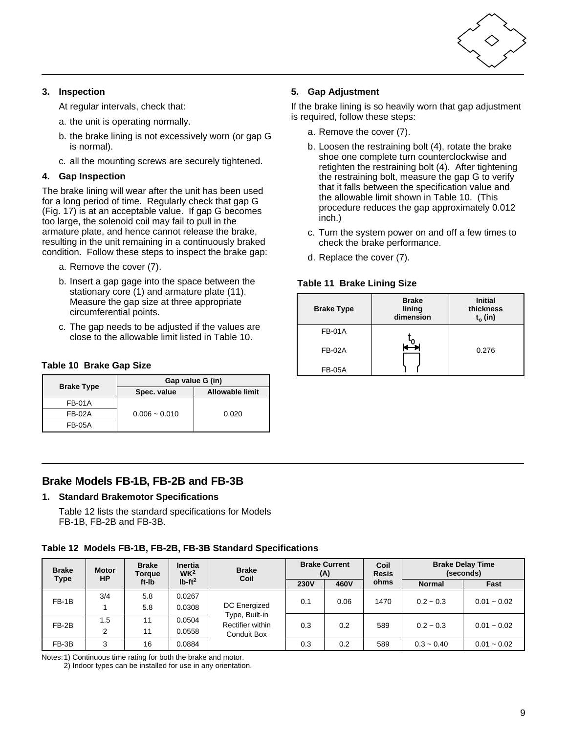

#### **3. Inspection**

At regular intervals, check that:

- a. the unit is operating normally.
- b. the brake lining is not excessively worn (or gap G is normal).
- c. all the mounting screws are securely tightened.

#### **4. Gap Inspection**

The brake lining will wear after the unit has been used for a long period of time. Regularly check that gap G (Fig. 17) is at an acceptable value. If gap G becomes too large, the solenoid coil may fail to pull in the armature plate, and hence cannot release the brake, resulting in the unit remaining in a continuously braked condition. Follow these steps to inspect the brake gap:

- <span id="page-10-0"></span>a. Remove the cover (7).
- b. Insert a gap gage into the space between the stationary core (1) and armature plate (11). Measure the gap size at three appropriate circumferential points.
- c. The gap needs to be adjusted if the values are close to the allowable limit listed in Table 10.

#### **Table 10 Brake Gap Size**

| <b>Brake Type</b> | Gap value G (in) |                        |  |  |  |
|-------------------|------------------|------------------------|--|--|--|
|                   | Spec. value      | <b>Allowable limit</b> |  |  |  |
| FB-01A            |                  |                        |  |  |  |
| FB-02A            | $0.006 - 0.010$  | 0.020                  |  |  |  |
| FB-05A            |                  |                        |  |  |  |

#### **5. Gap Adjustment**

If the brake lining is so heavily worn that gap adjustment is required, follow these steps:

- a. Remove the cover (7).
- b. Loosen the restraining bolt (4), rotate the brake shoe one complete turn counterclockwise and retighten the restraining bolt (4). After tightening the restraining bolt, measure the gap G to verify that it falls between the specification value and the allowable limit shown in Table 10. (This procedure reduces the gap approximately 0.012 inch.)
- c. Turn the system power on and off a few times to check the brake performance.
- d. Replace the cover (7).

#### **Table 11 Brake Lining Size**

| <b>Brake Type</b> | <b>Brake</b><br>lining<br>dimension | <b>Initial</b><br>thickness<br>$t_o$ (in) |
|-------------------|-------------------------------------|-------------------------------------------|
| <b>FB-01A</b>     |                                     |                                           |
| <b>FB-02A</b>     |                                     | 0.276                                     |
| <b>FB-05A</b>     |                                     |                                           |

#### **Brake Models FB-1B, FB-2B and FB-3B**

#### **1. Standard Brakemotor Specifications**

Table 12 lists the standard specifications for Models FB-1B, FB-2B and FB-3B.

#### **Table 12 Models FB-1B, FB-2B, FB-3B Standard Specifications**

| <b>Brake</b> | <b>Motor</b><br>HP | <b>Brake</b><br>Torque | <b>Inertia</b><br>W <sup>2</sup> | <b>Brake</b><br>Coil               | <b>Brake Current</b><br>(A) |      |      |               | Coil<br><b>Resis</b> |  | <b>Brake Delay Time</b><br>(seconds) |
|--------------|--------------------|------------------------|----------------------------------|------------------------------------|-----------------------------|------|------|---------------|----------------------|--|--------------------------------------|
| Type         |                    | ft-lb                  | $Ib-ft^2$                        |                                    | <b>230V</b>                 | 460V | ohms | <b>Normal</b> | Fast                 |  |                                      |
| $FB-1B$      | 3/4                | 5.8                    | 0.0267                           |                                    | 0.1                         | 0.06 | 1470 | $0.2 - 0.3$   | $0.01 - 0.02$        |  |                                      |
|              |                    | 5.8                    | 0.0308                           | DC Energized                       |                             |      |      |               |                      |  |                                      |
| $FB-2B$      | 1.5                | 11                     | 0.0504                           | Type, Built-in<br>Rectifier within | 0.3                         | 0.2  | 589  | $0.2 - 0.3$   | $0.01 - 0.02$        |  |                                      |
|              | 2                  | 11                     | 0.0558                           | Conduit Box                        |                             |      |      |               |                      |  |                                      |
| FB-3B        | 3                  | 16                     | 0.0884                           |                                    | 0.3                         | 0.2  | 589  | $0.3 - 0.40$  | $0.01 - 0.02$        |  |                                      |

Notes:1) Continuous time rating for both the brake and motor.

2) Indoor types can be installed for use in any orientation.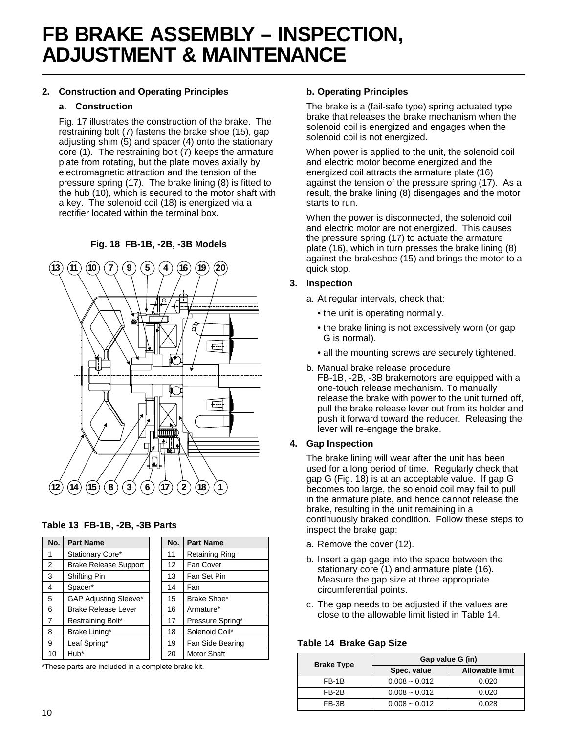# **FB BRAKE ASSEMBLY – INSPECTION, ADJUSTMENT & MAINTENANCE**

### **2. Construction and Operating Principles**

#### **a. Construction**

Fig. 17 illustrates the construction of the brake. The restraining bolt (7) fastens the brake shoe (15), gap adjusting shim (5) and spacer (4) onto the stationary core (1). The restraining bolt (7) keeps the armature plate from rotating, but the plate moves axially by electromagnetic attraction and the tension of the pressure spring (17). The brake lining (8) is fitted to the hub (10), which is secured to the motor shaft with a key. The solenoid coil (18) is energized via a rectifier located within the terminal box.

**Fig. 18 FB-1B, -2B, -3B Models**



| Table 13 FB-1B, -2B, -3B Parts |  |  |  |  |
|--------------------------------|--|--|--|--|
|--------------------------------|--|--|--|--|

| No. | <b>Part Name</b>             | No.               | <b>Part Name</b>   |
|-----|------------------------------|-------------------|--------------------|
| 1   | Stationary Core*             | 11                | Retaining Ring     |
| 2   | <b>Brake Release Support</b> | $12 \overline{ }$ | Fan Cover          |
| 3   | Shifting Pin                 | 13                | Fan Set Pin        |
| 4   | Spacer*                      | 14                | Fan                |
| 5   | <b>GAP Adjusting Sleeve*</b> | 15                | Brake Shoe*        |
| 6   | <b>Brake Release Lever</b>   | 16                | Armature*          |
| 7   | Restraining Bolt*            | 17                | Pressure Spring*   |
| 8   | Brake Lining*                | 18                | Solenoid Coil*     |
| 9   | Leaf Spring*                 | 19                | Fan Side Bearing   |
| 10  | Hub*                         | 20                | <b>Motor Shaft</b> |

\*These parts are included in a complete brake kit.

#### **b. Operating Principles**

The brake is a (fail-safe type) spring actuated type brake that releases the brake mechanism when the solenoid coil is energized and engages when the solenoid coil is not energized.

When power is applied to the unit, the solenoid coil and electric motor become energized and the energized coil attracts the armature plate (16) against the tension of the pressure spring (17). As a result, the brake lining (8) disengages and the motor starts to run.

When the power is disconnected, the solenoid coil and electric motor are not energized. This causes the pressure spring (17) to actuate the armature plate (16), which in turn presses the brake lining (8) against the brakeshoe (15) and brings the motor to a quick stop.

#### **3. Inspection**

- a. At regular intervals, check that:
	- the unit is operating normally.
	- the brake lining is not excessively worn (or gap G is normal).
	- all the mounting screws are securely tightened.
- b. Manual brake release procedure FB-1B, -2B, -3B brakemotors are equipped with a one-touch release mechanism. To manually release the brake with power to the unit turned off, pull the brake release lever out from its holder and push it forward toward the reducer. Releasing the lever will re-engage the brake.

#### **4. Gap Inspection**

The brake lining will wear after the unit has been used for a long period of time. Regularly check that gap G (Fig. 18) is at an acceptable value. If gap G becomes too large, the solenoid coil may fail to pull in the armature plate, and hence cannot release the brake, resulting in the unit remaining in a continuously braked condition. Follow these steps to inspect the brake gap:

- a. Remove the cover (12).
- b. Insert a gap gage into the space between the stationary core (1) and armature plate (16). Measure the gap size at three appropriate circumferential points.
- c. The gap needs to be adjusted if the values are close to the allowable limit listed in Table 14.

**Table 14 Brake Gap Size**

| <b>Brake Type</b> | Gap value G (in) |                        |  |  |  |
|-------------------|------------------|------------------------|--|--|--|
|                   | Spec. value      | <b>Allowable limit</b> |  |  |  |
| FB-1B             | $0.008 - 0.012$  | 0.020                  |  |  |  |
| FB-2B             | $0.008 - 0.012$  | 0.020                  |  |  |  |
| FB-3B             | $0.008 - 0.012$  | 0.028                  |  |  |  |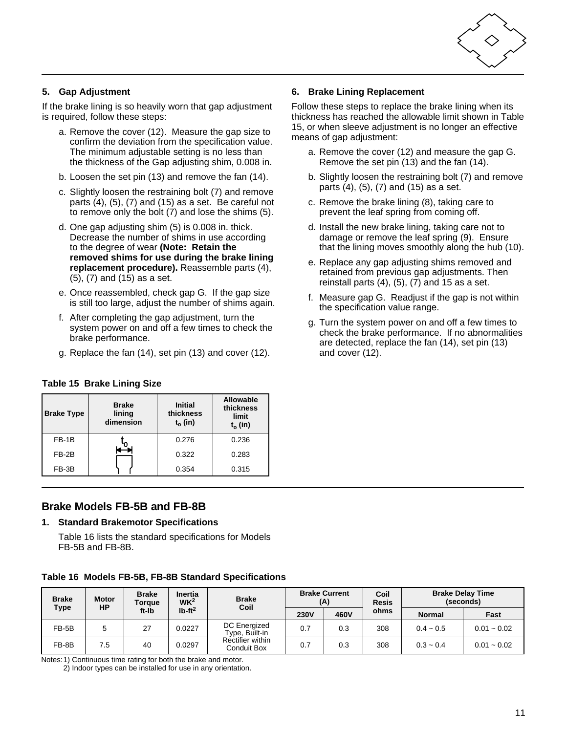

### **5. Gap Adjustment**

If the brake lining is so heavily worn that gap adjustment is required, follow these steps:

- a. Remove the cover (12). Measure the gap size to confirm the deviation from the specification value. The minimum adjustable setting is no less than the thickness of the Gap adjusting shim, 0.008 in.
- b. Loosen the set pin (13) and remove the fan (14).
- c. Slightly loosen the restraining bolt (7) and remove parts (4), (5), (7) and (15) as a set. Be careful not to remove only the bolt (7) and lose the shims (5).
- d. One gap adjusting shim (5) is 0.008 in. thick. Decrease the number of shims in use according to the degree of wear **(Note: Retain the removed shims for use during the brake lining replacement procedure).** Reassemble parts (4), (5), (7) and (15) as a set.
- <span id="page-12-0"></span>e. Once reassembled, check gap G. If the gap size is still too large, adjust the number of shims again.
- f. After completing the gap adjustment, turn the system power on and off a few times to check the brake performance.
- g. Replace the fan (14), set pin (13) and cover (12).

#### **Table 15 Brake Lining Size**

| <b>Brake Type</b> | <b>Brake</b><br>lining<br>dimension | <b>Initial</b><br>thickness<br>$t_0$ (in) | Allowable<br>thickness<br>limit<br>$t_o$ (in) |  |
|-------------------|-------------------------------------|-------------------------------------------|-----------------------------------------------|--|
| $FB-1B$           |                                     | 0.276                                     | 0.236                                         |  |
| $FB-2B$           |                                     | 0.322                                     | 0.283                                         |  |
| FB-3B             |                                     | 0.354                                     | 0.315                                         |  |

### **Brake Models FB-5B and FB-8B**

#### **1. Standard Brakemotor Specifications**

Table 16 lists the standard specifications for Models FB-5B and FB-8B.

#### **Table 16 Models FB-5B, FB-8B Standard Specifications**

| <b>Brake</b><br>Type | Motor<br><b>HP</b> | <b>Brake</b><br>Torque | <b>Inertia</b><br>W <sup>2</sup> | <b>Brake</b><br>Coil            | <b>Brake Current</b><br>(A) |      | Coil<br><b>Resis</b> |               | <b>Brake Delay Time</b><br>(seconds) |
|----------------------|--------------------|------------------------|----------------------------------|---------------------------------|-----------------------------|------|----------------------|---------------|--------------------------------------|
|                      |                    | ft-lb                  | $Ib-ft^2$                        |                                 | <b>230V</b>                 | 460V | ohms                 | <b>Normal</b> | Fast                                 |
| $FB-5B$              | 5                  | 27                     | 0.0227                           | DC Energized<br>Type, Built-in  | 0.7                         | 0.3  | 308                  | $0.4 - 0.5$   | $0.01 - 0.02$                        |
| FB-8B                | 7.5                | 40                     | 0.0297                           | Rectifier within<br>Conduit Box | 0.7                         | 0.3  | 308                  | $0.3 - 0.4$   | $0.01 - 0.02$                        |

Notes:1) Continuous time rating for both the brake and motor. 2) Indoor types can be installed for use in any orientation. **6. Brake Lining Replacement**

Follow these steps to replace the brake lining when its thickness has reached the allowable limit shown in Table 15, or when sleeve adjustment is no longer an effective means of gap adjustment:

- a. Remove the cover (12) and measure the gap G. Remove the set pin (13) and the fan (14).
- b. Slightly loosen the restraining bolt (7) and remove parts (4), (5), (7) and (15) as a set.
- c. Remove the brake lining (8), taking care to prevent the leaf spring from coming off.
- d. Install the new brake lining, taking care not to damage or remove the leaf spring (9). Ensure that the lining moves smoothly along the hub (10).
- e. Replace any gap adjusting shims removed and retained from previous gap adjustments. Then reinstall parts  $(4)$ ,  $(5)$ ,  $(7)$  and 15 as a set.
- f. Measure gap G. Readjust if the gap is not within the specification value range.
- g. Turn the system power on and off a few times to check the brake performance. If no abnormalities are detected, replace the fan (14), set pin (13) and cover (12).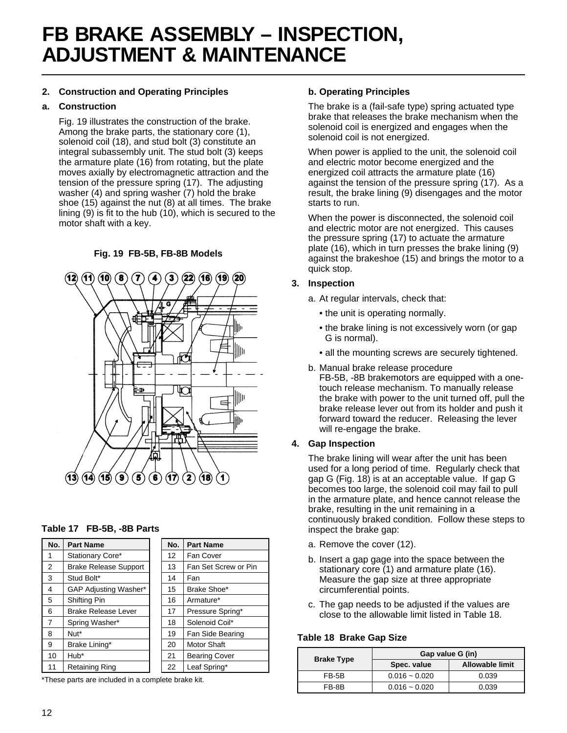# **FB BRAKE ASSEMBLY – INSPECTION, ADJUSTMENT & MAINTENANCE**

#### **2. Construction and Operating Principles**

#### **a. Construction**

Fig. 19 illustrates the construction of the brake. Among the brake parts, the stationary core (1), solenoid coil (18), and stud bolt (3) constitute an integral subassembly unit. The stud bolt (3) keeps the armature plate (16) from rotating, but the plate moves axially by electromagnetic attraction and the tension of the pressure spring (17). The adjusting washer (4) and spring washer (7) hold the brake shoe (15) against the nut (8) at all times. The brake lining (9) is fit to the hub (10), which is secured to the motor shaft with a key.

#### **Fig. 19 FB-5B, FB-8B Models**



#### **Table 17 FB-5B, -8B Parts**

| No. | <b>Part Name</b>             | No.               | <b>Part Name</b>     |
|-----|------------------------------|-------------------|----------------------|
| 1   | Stationary Core*             | $12 \overline{ }$ | Fan Cover            |
| 2   | <b>Brake Release Support</b> | 13                | Fan Set Screw or Pin |
| 3   | Stud Bolt*                   | 14                | Fan                  |
| 4   | GAP Adjusting Washer*        | 15                | Brake Shoe*          |
| 5   | Shifting Pin                 | 16                | Armature*            |
| 6   | <b>Brake Release Lever</b>   | 17                | Pressure Spring*     |
| 7   | Spring Washer*               | 18                | Solenoid Coil*       |
| 8   | Nut*                         | 19                | Fan Side Bearing     |
| 9   | Brake Lining*                | 20                | Motor Shaft          |
| 10  | Hub*                         | 21                | <b>Bearing Cover</b> |
| 11  | <b>Retaining Ring</b>        | 22                | Leaf Spring*         |

\*These parts are included in a complete brake kit.

#### **b. Operating Principles**

The brake is a (fail-safe type) spring actuated type brake that releases the brake mechanism when the solenoid coil is energized and engages when the solenoid coil is not energized.

When power is applied to the unit, the solenoid coil and electric motor become energized and the energized coil attracts the armature plate (16) against the tension of the pressure spring (17). As a result, the brake lining (9) disengages and the motor starts to run.

When the power is disconnected, the solenoid coil and electric motor are not energized. This causes the pressure spring (17) to actuate the armature plate (16), which in turn presses the brake lining (9) against the brakeshoe (15) and brings the motor to a quick stop.

#### **3. Inspection**

- a. At regular intervals, check that:
	- the unit is operating normally.
	- the brake lining is not excessively worn (or gap G is normal).
	- all the mounting screws are securely tightened.
- b. Manual brake release procedure FB-5B, -8B brakemotors are equipped with a onetouch release mechanism. To manually release the brake with power to the unit turned off, pull the brake release lever out from its holder and push it forward toward the reducer. Releasing the lever will re-engage the brake.

#### **4. Gap Inspection**

The brake lining will wear after the unit has been used for a long period of time. Regularly check that gap G (Fig. 18) is at an acceptable value. If gap G becomes too large, the solenoid coil may fail to pull in the armature plate, and hence cannot release the brake, resulting in the unit remaining in a continuously braked condition. Follow these steps to inspect the brake gap:

- a. Remove the cover (12).
- b. Insert a gap gage into the space between the stationary core (1) and armature plate (16). Measure the gap size at three appropriate circumferential points.
- c. The gap needs to be adjusted if the values are close to the allowable limit listed in Table 18.

#### **Table 18 Brake Gap Size**

| <b>Brake Type</b> | Gap value G (in) |                        |  |  |  |
|-------------------|------------------|------------------------|--|--|--|
|                   | Spec. value      | <b>Allowable limit</b> |  |  |  |
| FB-5B             | $0.016 - 0.020$  | 0.039                  |  |  |  |
| FB-8B             | $0.016 - 0.020$  | 0.039                  |  |  |  |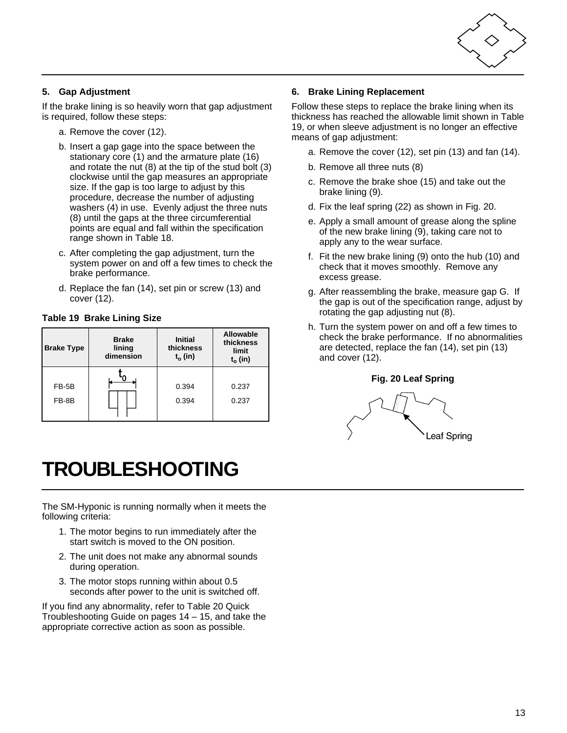

### **5. Gap Adjustment**

If the brake lining is so heavily worn that gap adjustment is required, follow these steps:

- a. Remove the cover (12).
- b. Insert a gap gage into the space between the stationary core (1) and the armature plate (16) and rotate the nut (8) at the tip of the stud bolt (3) clockwise until the gap measures an appropriate size. If the gap is too large to adjust by this procedure, decrease the number of adjusting washers (4) in use. Evenly adjust the three nuts (8) until the gaps at the three circumferential points are equal and fall within the specification range shown in Table 18.
- <span id="page-14-0"></span>c. After completing the gap adjustment, turn the system power on and off a few times to check the brake performance.
- d. Replace the fan (14), set pin or screw (13) and cover (12).

#### **Table 19 Brake Lining Size**

| <b>Brake Type</b> | <b>Brake</b><br>lining<br>dimension | <b>Initial</b><br>thickness<br>$t_o$ (in) | Allowable<br>thickness<br>limit<br>$t_0$ (in) |
|-------------------|-------------------------------------|-------------------------------------------|-----------------------------------------------|
| FB-5B             |                                     | 0.394                                     | 0.237                                         |
| FB-8B             |                                     | 0.394                                     | 0.237                                         |

# **TROUBLESHOOTING**

The SM-Hyponic is running normally when it meets the following criteria:

- 1. The motor begins to run immediately after the start switch is moved to the ON position.
- 2. The unit does not make any abnormal sounds during operation.
- 3. The motor stops running within about 0.5 seconds after power to the unit is switched off.

If you find any abnormality, refer to Table 20 Quick Troubleshooting Guide on pages 14 – 15, and take the appropriate corrective action as soon as possible.

#### **6. Brake Lining Replacement**

Follow these steps to replace the brake lining when its thickness has reached the allowable limit shown in Table 19, or when sleeve adjustment is no longer an effective means of gap adjustment:

- a. Remove the cover (12), set pin (13) and fan (14).
- b. Remove all three nuts (8)
- c. Remove the brake shoe (15) and take out the brake lining (9).
- d. Fix the leaf spring (22) as shown in Fig. 20.
- e. Apply a small amount of grease along the spline of the new brake lining (9), taking care not to apply any to the wear surface.
- f. Fit the new brake lining (9) onto the hub (10) and check that it moves smoothly. Remove any excess grease.
- g. After reassembling the brake, measure gap G. If the gap is out of the specification range, adjust by rotating the gap adjusting nut (8).
- h. Turn the system power on and off a few times to check the brake performance. If no abnormalities are detected, replace the fan (14), set pin (13) and cover (12).

#### **Fig. 20 Leaf Spring**

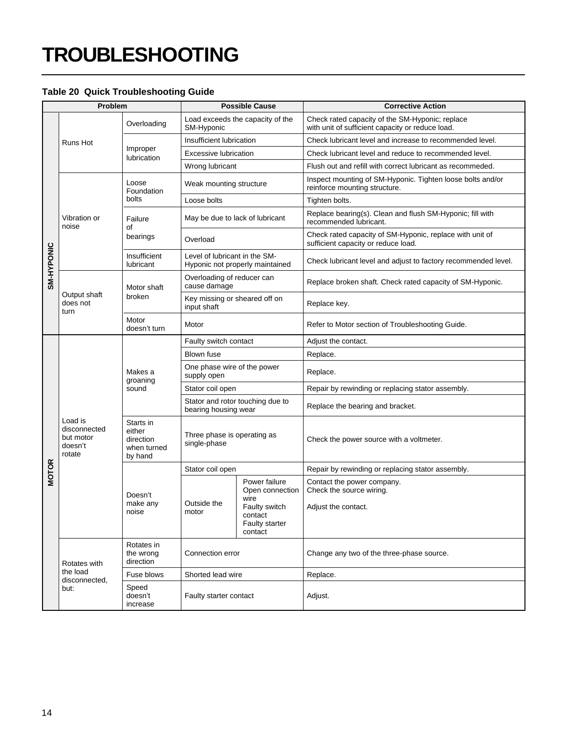# **TROUBLESHOOTING**

#### **Table 20 Quick Troubleshooting Guide**

| Problem      |                                                           | <b>Possible Cause</b>                                      |                                                                  | <b>Corrective Action</b>                                                                          |                                                                                                     |  |
|--------------|-----------------------------------------------------------|------------------------------------------------------------|------------------------------------------------------------------|---------------------------------------------------------------------------------------------------|-----------------------------------------------------------------------------------------------------|--|
| SM-HYPONIC   |                                                           | Overloading                                                | Load exceeds the capacity of the<br>SM-Hyponic                   |                                                                                                   | Check rated capacity of the SM-Hyponic; replace<br>with unit of sufficient capacity or reduce load. |  |
|              | Runs Hot                                                  |                                                            | Insufficient lubrication                                         |                                                                                                   | Check lubricant level and increase to recommended level.                                            |  |
|              |                                                           | Improper<br>lubrication                                    | Excessive lubrication                                            |                                                                                                   | Check lubricant level and reduce to recommended level.                                              |  |
|              |                                                           |                                                            | Wrong lubricant                                                  |                                                                                                   | Flush out and refill with correct lubricant as recommeded.                                          |  |
|              | Vibration or<br>noise                                     | Loose<br>Foundation<br>bolts                               | Weak mounting structure                                          |                                                                                                   | Inspect mounting of SM-Hyponic. Tighten loose bolts and/or<br>reinforce mounting structure.         |  |
|              |                                                           |                                                            | Loose bolts                                                      |                                                                                                   | Tighten bolts.                                                                                      |  |
|              |                                                           | Failure<br>οf<br>bearings                                  | May be due to lack of lubricant                                  |                                                                                                   | Replace bearing(s). Clean and flush SM-Hyponic; fill with<br>recommended lubricant.                 |  |
|              |                                                           |                                                            | Overload                                                         |                                                                                                   | Check rated capacity of SM-Hyponic, replace with unit of<br>sufficient capacity or reduce load.     |  |
|              |                                                           | Insufficient<br>lubricant                                  | Level of lubricant in the SM-<br>Hyponic not properly maintained |                                                                                                   | Check lubricant level and adjust to factory recommended level.                                      |  |
|              | Output shaft<br>does not<br>turn                          | Motor shaft<br>broken                                      | Overloading of reducer can<br>cause damage                       |                                                                                                   | Replace broken shaft. Check rated capacity of SM-Hyponic.                                           |  |
|              |                                                           |                                                            | Key missing or sheared off on<br>input shaft                     |                                                                                                   | Replace key.                                                                                        |  |
|              |                                                           | Motor<br>doesn't turn                                      | Motor                                                            |                                                                                                   | Refer to Motor section of Troubleshooting Guide.                                                    |  |
|              | Load is<br>disconnected<br>but motor<br>doesn't<br>rotate | Makes a<br>groaning<br>sound                               | Faulty switch contact                                            |                                                                                                   | Adjust the contact.                                                                                 |  |
|              |                                                           |                                                            | Blown fuse                                                       |                                                                                                   | Replace.                                                                                            |  |
|              |                                                           |                                                            | One phase wire of the power<br>supply open                       |                                                                                                   | Replace.                                                                                            |  |
|              |                                                           |                                                            | Stator coil open                                                 |                                                                                                   | Repair by rewinding or replacing stator assembly.                                                   |  |
|              |                                                           |                                                            | Stator and rotor touching due to<br>bearing housing wear         |                                                                                                   | Replace the bearing and bracket.                                                                    |  |
|              |                                                           | Starts in<br>either<br>direction<br>when turned<br>by hand | Three phase is operating as<br>single-phase                      |                                                                                                   | Check the power source with a voltmeter.                                                            |  |
|              |                                                           | Doesn't<br>make any<br>noise                               | Stator coil open                                                 |                                                                                                   | Repair by rewinding or replacing stator assembly.                                                   |  |
| <b>MOTOR</b> |                                                           |                                                            | Outside the<br>motor                                             | Power failure<br>Open connection<br>wire<br>Faulty switch<br>contact<br>Faulty starter<br>contact | Contact the power company.<br>Check the source wiring.<br>Adjust the contact.                       |  |
|              | Rotates with<br>the load<br>disconnected,<br>but:         | Rotates in<br>the wrong<br>direction                       | Connection error                                                 |                                                                                                   | Change any two of the three-phase source.                                                           |  |
|              |                                                           | Fuse blows                                                 | Shorted lead wire                                                |                                                                                                   | Replace.                                                                                            |  |
|              |                                                           | Speed<br>doesn't<br>increase                               | Faulty starter contact                                           |                                                                                                   | Adjust.                                                                                             |  |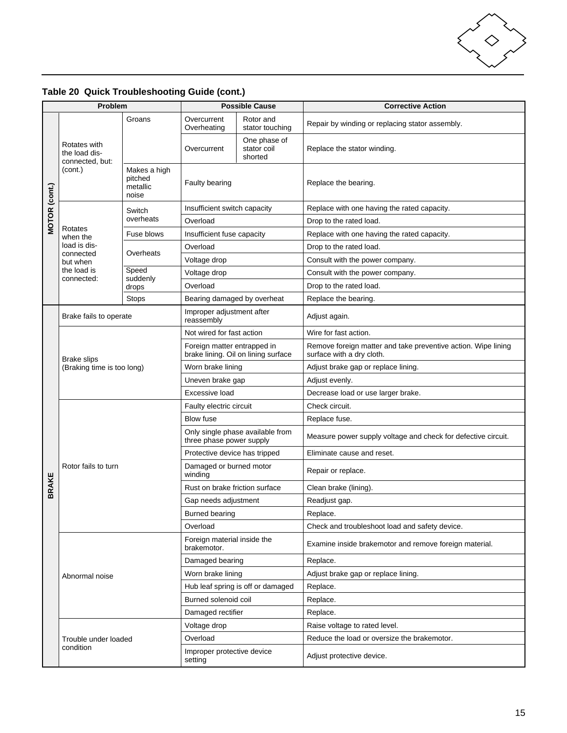

| Problem              |                                                             | <b>Possible Cause</b>                        |                                                                    | <b>Corrective Action</b>               |                                                                                            |  |
|----------------------|-------------------------------------------------------------|----------------------------------------------|--------------------------------------------------------------------|----------------------------------------|--------------------------------------------------------------------------------------------|--|
| <b>MOTOR (cont.)</b> | Rotates with<br>the load dis-<br>connected, but:<br>(cont.) | Groans                                       | Overcurrent<br>Overheating                                         | Rotor and<br>stator touching           | Repair by winding or replacing stator assembly.                                            |  |
|                      |                                                             |                                              | Overcurrent                                                        | One phase of<br>stator coil<br>shorted | Replace the stator winding.                                                                |  |
|                      |                                                             | Makes a high<br>pitched<br>metallic<br>noise | Faulty bearing                                                     |                                        | Replace the bearing.                                                                       |  |
|                      | Rotates<br>when the<br>load is dis-                         | Switch<br>overheats                          | Insufficient switch capacity                                       |                                        | Replace with one having the rated capacity.                                                |  |
|                      |                                                             |                                              | Overload                                                           |                                        | Drop to the rated load.                                                                    |  |
|                      |                                                             | Fuse blows                                   | Insufficient fuse capacity                                         |                                        | Replace with one having the rated capacity.                                                |  |
|                      |                                                             | Overheats                                    | Overload                                                           |                                        | Drop to the rated load.                                                                    |  |
|                      | connected<br>but when                                       |                                              | Voltage drop                                                       |                                        | Consult with the power company.                                                            |  |
|                      | the load is<br>connected:                                   | Speed                                        | Voltage drop                                                       |                                        | Consult with the power company.                                                            |  |
|                      |                                                             | suddenly<br>drops                            | Overload                                                           |                                        | Drop to the rated load.                                                                    |  |
|                      |                                                             | <b>Stops</b>                                 | Bearing damaged by overheat                                        |                                        | Replace the bearing.                                                                       |  |
|                      | Brake fails to operate                                      |                                              | Improper adjustment after<br>reassembly                            |                                        | Adjust again.                                                                              |  |
|                      |                                                             |                                              | Not wired for fast action                                          |                                        | Wire for fast action.                                                                      |  |
|                      |                                                             |                                              | Foreign matter entrapped in<br>brake lining. Oil on lining surface |                                        | Remove foreign matter and take preventive action. Wipe lining<br>surface with a dry cloth. |  |
|                      | <b>Brake slips</b><br>(Braking time is too long)            |                                              | Worn brake lining                                                  |                                        | Adjust brake gap or replace lining.                                                        |  |
|                      |                                                             |                                              | Uneven brake gap                                                   |                                        | Adjust evenly.                                                                             |  |
|                      |                                                             |                                              | Excessive load                                                     |                                        | Decrease load or use larger brake.                                                         |  |
|                      | Rotor fails to turn                                         |                                              | Faulty electric circuit                                            |                                        | Check circuit.                                                                             |  |
|                      |                                                             |                                              | <b>Blow fuse</b>                                                   |                                        | Replace fuse.                                                                              |  |
|                      |                                                             |                                              | Only single phase available from<br>three phase power supply       |                                        | Measure power supply voltage and check for defective circuit.                              |  |
|                      |                                                             |                                              | Protective device has tripped                                      |                                        | Eliminate cause and reset.                                                                 |  |
|                      |                                                             |                                              | Damaged or burned motor<br>winding                                 |                                        | Repair or replace.                                                                         |  |
| <b>BRAKE</b>         |                                                             |                                              | Rust on brake friction surface                                     |                                        | Clean brake (lining).                                                                      |  |
|                      |                                                             |                                              | Gap needs adjustment                                               |                                        | Readjust gap.                                                                              |  |
|                      |                                                             |                                              | <b>Burned bearing</b>                                              |                                        | Replace.                                                                                   |  |
|                      |                                                             |                                              | Overload                                                           |                                        | Check and troubleshoot load and safety device.                                             |  |
|                      | Abnormal noise                                              |                                              | Foreign material inside the<br>brakemotor.                         |                                        | Examine inside brakemotor and remove foreign material.                                     |  |
|                      |                                                             |                                              | Damaged bearing                                                    |                                        | Replace.                                                                                   |  |
|                      |                                                             |                                              | Worn brake lining                                                  |                                        | Adjust brake gap or replace lining.                                                        |  |
|                      |                                                             |                                              | Hub leaf spring is off or damaged                                  |                                        | Replace.                                                                                   |  |
|                      |                                                             |                                              | Burned solenoid coil                                               |                                        | Replace.                                                                                   |  |
|                      |                                                             |                                              | Damaged rectifier                                                  |                                        | Replace.                                                                                   |  |
|                      |                                                             |                                              | Voltage drop                                                       |                                        | Raise voltage to rated level.                                                              |  |
|                      | Trouble under loaded<br>condition                           |                                              | Overload                                                           |                                        | Reduce the load or oversize the brakemotor.                                                |  |
|                      |                                                             |                                              | Improper protective device<br>setting                              |                                        | Adjust protective device.                                                                  |  |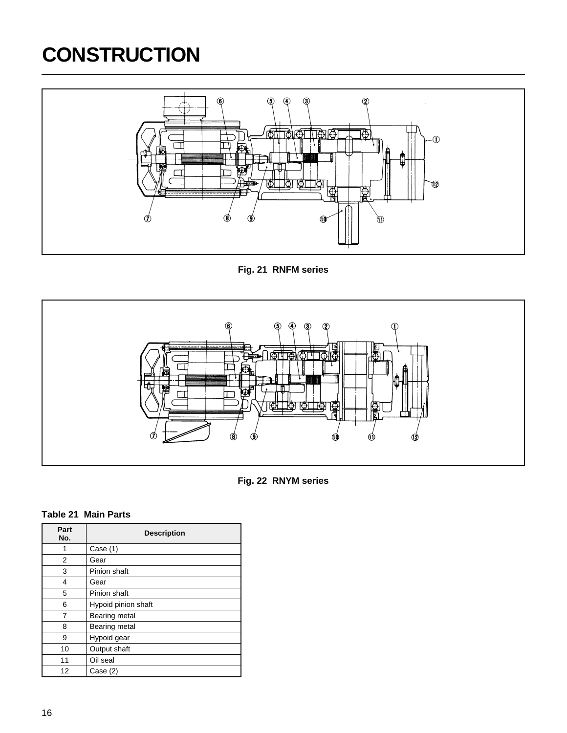# <span id="page-17-0"></span>**CONSTRUCTION**



**Fig. 21 RNFM series**





#### **Table 21 Main Parts**

| Part<br>No. | <b>Description</b>  |  |  |
|-------------|---------------------|--|--|
| 1           | Case $(1)$          |  |  |
| 2           | Gear                |  |  |
| 3           | Pinion shaft        |  |  |
| 4           | Gear                |  |  |
| 5           | Pinion shaft        |  |  |
| 6           | Hypoid pinion shaft |  |  |
| 7           | Bearing metal       |  |  |
| 8           | Bearing metal       |  |  |
| 9           | Hypoid gear         |  |  |
| 10          | Output shaft        |  |  |
| 11          | Oil seal            |  |  |
| 12          | Case (2)            |  |  |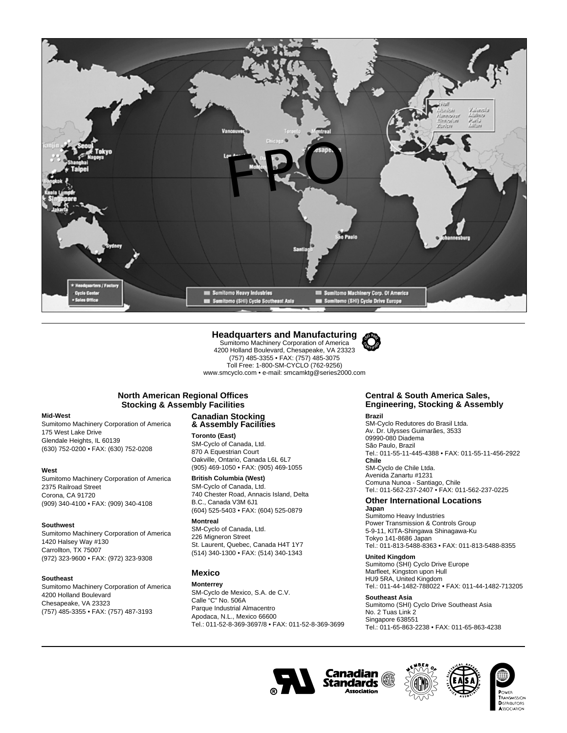

#### **Headquarters and Manufacturing**

Sumitomo Machinery Corporation of America 4200 Holland Boulevard, Chesapeake, VA 23323 (757) 485-3355 • FAX: (757) 485-3075 Toll Free: 1-800-SM-CYCLO (762-9256) www.smcyclo.com • e-mail: smcamktg@series2000.com



#### **North American Regional Offices Stocking & Assembly Facilities**

#### **Mid-West**

Sumitomo Machinery Corporation of America 175 West Lake Drive Glendale Heights, IL 60139 (630) 752-0200 • FAX: (630) 752-0208

#### **West**

Sumitomo Machinery Corporation of America 2375 Railroad Street Corona, CA 91720 (909) 340-4100 • FAX: (909) 340-4108

#### **Southwest**

Sumitomo Machinery Corporation of America 1420 Halsey Way #130 Carrollton, TX 75007 (972) 323-9600 • FAX: (972) 323-9308

#### **Southeast**

Sumitomo Machinery Corporation of America 4200 Holland Boulevard Chesapeake, VA 23323 (757) 485-3355 • FAX: (757) 487-3193

#### **Canadian Stocking & Assembly Facilities**

**Toronto (East)** SM-Cyclo of Canada, Ltd. 870 A Equestrian Court Oakville, Ontario, Canada L6L 6L7 (905) 469-1050 • FAX: (905) 469-1055

#### **British Columbia (West)**

SM-Cyclo of Canada, Ltd. 740 Chester Road, Annacis Island, Delta B.C., Canada V3M 6J1 (604) 525-5403 • FAX: (604) 525-0879

#### **Montreal**

SM-Cyclo of Canada, Ltd. 226 Migneron Street St. Laurent, Quebec, Canada H4T 1Y7 (514) 340-1300 • FAX: (514) 340-1343

#### **Mexico**

#### **Monterrey**

SM-Cyclo de Mexico, S.A. de C.V. Calle "C" No. 506A Parque Industrial Almacentro Apodaca, N.L., Mexico 66600 Tel.: 011-52-8-369-3697/8 • FAX: 011-52-8-369-3699

#### **Central & South America Sales, Engineering, Stocking & Assembly**

**Brazil**

SM-Cyclo Redutores do Brasil Ltda. Av. Dr. Ulysses Guimarães, 3533 09990-080 Diadema São Paulo, Brazil Tel.: 011-55-11-445-4388 • FAX: 011-55-11-456-2922 **Chile** SM-Cyclo de Chile Ltda. Avenida Zanartu #1231 Comuna Nunoa - Santiago, Chile Tel.: 011-562-237-2407 • FAX: 011-562-237-0225

#### **Other International Locations**

#### **Japan**

Sumitomo Heavy Industries Power Transmission & Controls Group 5-9-11, KITA-Shingawa Shinagawa-Ku Tokyo 141-8686 Japan Tel.: 011-813-5488-8363 • FAX: 011-813-5488-8355

#### **United Kingdom**

Sumitomo (SHI) Cyclo Drive Europe Marfleet, Kingston upon Hull HU9 5RA, United Kingdom Tel.: 011-44-1482-788022 • FAX: 011-44-1482-713205

#### **Southeast Asia**

Sumitomo (SHI) Cyclo Drive Southeast Asia No. 2 Tuas Link 2 Singapore 638551 Tel.: 011-65-863-2238 • FAX: 011-65-863-4238